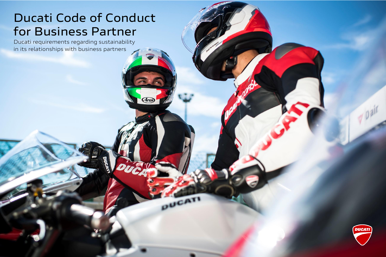# **Ducati Code of Conduct for Business Partner**

Arai

**PUCATI** 

Ducati requirements regarding sustainability in its relationships with business partners

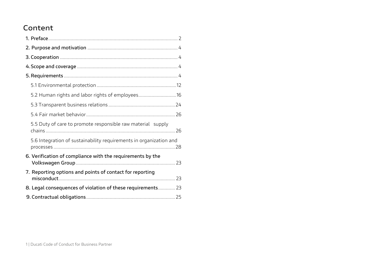# **Content**

| 5.2 Human rights and labor rights of employees16                   |  |
|--------------------------------------------------------------------|--|
|                                                                    |  |
|                                                                    |  |
| 5.5 Duty of care to promote responsible raw material supply        |  |
| 5.6 Integration of sustainability requirements in organization and |  |
| 6. Verification of compliance with the requirements by the         |  |
| 7. Reporting options and points of contact for reporting           |  |
| 8. Legal consequences of violation of these requirements 23        |  |
|                                                                    |  |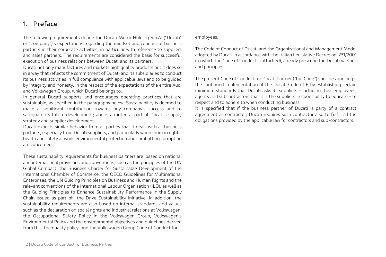### **1. Preface**

The following requirements define the Ducati Motor Holding S.p.A. ("Ducati"

or "Company")'s expectations regarding the mindset and conduct of business partners in their corporate activities, in particular with reference to suppliers and sales partners. The requirements are considered the basis for successful execution of business relations between Ducati and its partners.

Ducati not only manufactures and markets high quality products but it does so in a way that reflects the commitment of Ducati and its subsidiaries to conduct its business activities in full compliance with applicable laws and to be guided by integrity and honesty, in the respect of the expectations of the entire Audi and Volkswagen Group, which Ducati belongs to.

In general Ducati supports and encourages operating practices that are sustainable, as specified in the paragraphs below. Sustainability is deemed to make a significant contribution towards any company's success and to safeguard its future development; and is an integral part of Ducati's supply strategy and supplier development.

Ducati expects similar behavior from all parties that it deals with as business partners, especially from Ducati suppliers, and particularly where human rights, health and safety at work, environmental protection and combatting corruption are concerned.

These sustainability requirements for business partners are based on national and international provisions and conventions, such as the principles of the UN Global Compact, the Business Charter for Sustainable Development of the International Chamber of Commerce, the OECD Guidelines for Multinational Enterprises, the UN Guiding Principles on Business and Human Rights and the relevant conventions of the International Labour Organisation (ILO), as well as the Guiding Principles to Enhance Sustainability Performance in the Supply Chain issued as part of the Drive Sustainability initiative. In addition, the sustainability requirements are also based on internal standards and values such as the declaration on social rights and industrial relations at Volkswagen, the Occupational Safety Policy in the Volkswagen Group, Volkswagen's Environmental Policy and the environmental objectives and guidelines derived from this, the quality policy, and the Volkswagen Group Code of Conduct for

#### employees.

The Code of Conduct of Ducati and the Organizational and Management Model adopted by Ducati in accordance with the Italian Legislative Decree no. 231/2001 (to which the Code of Conduct is attached), already prescribe the Ducati va¬lues and principles.

The present Code of Conduct for Ducati Partner ("the Code") specifies and helps the continued implementation of the Ducati Code of E by establishing certain minimum standards that Ducati asks its suppliers - including their employees, agents and subcontractors that it is the suppliers' responsibility to educate - to respect and to adhere to when conducting business.

It is specified that if the business partner of Ducati is party of a contract agreement as contractor, Ducati requires such contractor also to fulfill all the obligations provided by the applicable law for contractors and sub-contractors.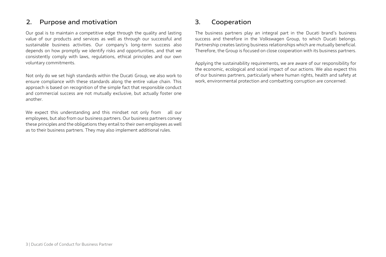# **2. Purpose and motivation**

Our goal is to maintain a competitive edge through the quality and lasting value of our products and services as well as through our successful and sustainable business activities. Our company's long-term success also depends on how promptly we identify risks and opportunities, and that we consistently comply with laws, regulations, ethical principles and our own voluntary commitments.

Not only do we set high standards within the Ducati Group, we also work to ensure compliance with these standards along the entire value chain. This approach is based on recognition of the simple fact that responsible conduct and commercial success are not mutually exclusive, but actually foster one another.

We expect this understanding and this mindset not only from all our employees, but also from our business partners. Our business partners convey these principles and the obligations they entail to their own employees as well as to their business partners. They may also implement additional rules.

# **3. Cooperation**

The business partners play an integral part in the Ducati brand's business success and therefore in the Volkswagen Group, to which Ducati belongs. Partnership creates lasting business relationships which are mutually beneficial. Therefore, the Group is focused on close cooperation with its business partners.

Applying the sustainability requirements, we are aware of our responsibility for the economic, ecological and social impact of our actions. We also expect this of our business partners, particularly where human rights, health and safety at work, environmental protection and combatting corruption are concerned.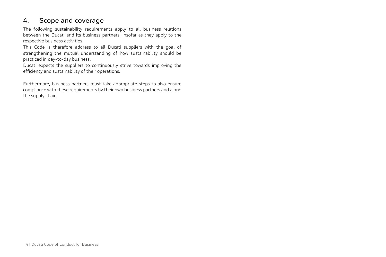# **4. Scope and coverage**

The following sustainability requirements apply to all business relations between the Ducati and its business partners, insofar as they apply to the respective business activities.

This Code is therefore address to all Ducati suppliers with the goal of strengthening the mutual understanding of how sustainability should be practiced in day-to-day business.

Ducati expects the suppliers to continuously strive towards improving the efficiency and sustainability of their operations.

Furthermore, business partners must take appropriate steps to also ensure compliance with these requirements by their own business partners and along the supply chain.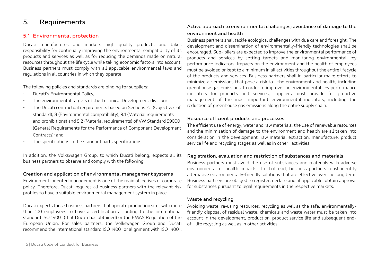# **5. Requirements**

#### **5.1 Environmental protection**

Ducati manufactures and markets high quality products and takes responsibility for continually improving the environmental compatibility of its products and services as well as for reducing the demands made on natural resources throughout the life cycle while taking economic factors into account. Business partners must comply with all applicable environmental laws and regulations in all countries in which they operate.

The following policies and standards are binding for suppliers:

- Ducati's Environmental Policy;
- The environmental targets of the Technical Development division;
- The Ducati contractual requirements based on Sections 2.1 (Objectives of standard), 8 (Environmental compatibility), 9.1 (Material requirements and prohibitions) and 9.2 (Material requirements) of VW Standard 99000 (General Requirements for the Performance of Component Development Contracts); and
- The specifications in the standard parts specifications.

In addition, the Volkswagen Group, to which Ducati belong, expects all its business partners to observe and comply with the following:

#### **Creation and application of environmental management systems**

Environment-oriented management is one of the main objectives of corporate policy. Therefore, Ducati requires all business partners with the relevant risk profiles to have a suitable environmental management system in place.

Ducati expects those business partners that operate production sites with more than 100 employees to have a certification according to the international standard ISO 14001 (that Ducati has obtained) or the EMAS Regulation of the European Union. For sales partners, the Volkswagen Group and Ducati recommend the international standard ISO 14001 or alignment with ISO 14001.

#### **Active approach to environmental challenges; avoidance of damage to the environment and health**

Business partners shall tackle ecological challenges with due care and foresight. The development and dissemination of environmentally-friendly technologies shall be encouraged. Sup- pliers are expected to improve the environmental performance of products and services by setting targets and monitoring environmental key performance indicators. Impacts on the environment and the health of employees must be avoided or kept to a minimum in all activities throughout the entire lifecycle of the products and services. Business partners shall in particular make efforts to minimize air emissions that pose a risk to the environment and health, including greenhouse gas emissions. In order to improve the environmental key performance indicators for products and services, suppliers must provide for proactive management of the most important environmental indicators, including the reduction of greenhouse gas emissions along the entire supply chain.

#### **Resource efficient products and processes**

The efficient use of energy, water and raw materials, the use of renewable resources and the minimization of damage to the environment and health are all taken into consideration in the development, raw material extraction, manufacture, product service life and recycling stages as well as in other activities.

#### **Registration, evaluation and restriction of substances and materials**

Business partners must avoid the use of substances and materials with adverse environmental or health impacts. To that end, business partners must identify alternative environmentally-friendly solutions that are effective over the long term. Business partners are obliged to register, declare and, if applicable, obtain approval for substances pursuant to legal requirements in the respective markets.

#### **Waste and recycling**

Avoiding waste, re-using resources, recycling as well as the safe, environmentallyfriendly disposal of residual waste, chemicals and waste water must be taken into account in the development, production, product service life and subsequent endof- life recycling as well as in other activities.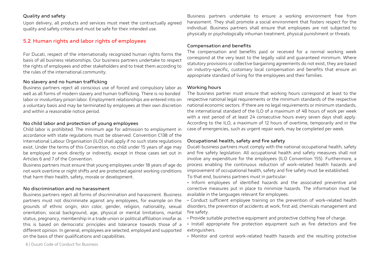#### **Quality and safety**

Upon delivery, all products and services must meet the contractually agreed quality and safety criteria and must be safe for their intended use.

#### **5.2 Human rights and labor rights of employees**

For Ducati, respect of the internationally recognized human rights forms the basis of all business relationships. Our business partners undertake to respect the rights of employees and other stakeholders and to treat them according to the rules of the international community.

#### **No slavery and no human trafficking**

Business partners reject all conscious use of forced and compulsory labor as well as all forms of modern slavery and human trafficking. There is no bonded labor or involuntary prison labor. Employment relationships are entered into on a voluntary basis and may be terminated by employees at their own discretion and within a reasonable notice period.

#### **No child labor and protection of young employees**

Child labor is prohibited. The minimum age for admission to employment in accordance with state regulations must be observed. Convention C138 of the International Labour Organisation (ILO) shall apply if no such state regulations exist. Under the terms of this Convention, no child under 15 years of age may be employed or work directly or indirectly, except in those cases set out in Articles 6 and 7 of the Convention.

Business partners must ensure that young employees under 18 years of age do not work overtime or night shifts and are protected against working conditions that harm their health, safety, morale or development.

#### **No discrimination and no harassment**

Business partners reject all forms of discrimination and harassment. Business partners must not discriminate against any employees, for example on the grounds of ethnic origin, skin color, gender, religion, nationality, sexual orientation, social background, age, physical or mental limitations, marital status, pregnancy, membership in a trade union or political affiliation insofar as this is based on democratic principles and tolerance towards those of a different opinion. In general, employees are selected, employed and supported on the basis of their qualifications and capabilities.

Business partners undertake to ensure a working environment free from harassment. They shall promote a social environment that fosters respect for the individual. Business partners shall ensure that employees are not subjected to physically or psychologically inhuman treatment, physical punishment or threats.

#### **Compensation and benefits**

The compensation and benefits paid or received for a normal working week correspond at the very least to the legally valid and guaranteed minimum. Where statutory provisions or collective bargaining agreements do not exist, they are based on industry-specific, customary local compensation and benefits that ensure an appropriate standard of living for the employees and their families.

#### **Working hours**

The business partner must ensure that working hours correspond at least to the respective national legal requirements or the minimum standards of the respective national economic sectors. If there are no legal requirements or minimum standards, the international standard of the ILO of a maximum of 48 hours of work per week with a rest period of at least 24 consecutive hours every seven days shall apply. According to the ILO, a maximum of 12 hours of overtime, temporarily and in the case of emergencies, such as urgent repair work, may be completed per week.

#### **Occupational health, safety and fire safety**

Ducati business partners must comply with the national occupational health, safety and fire safety legislation. All occupational health and safety measures shall not involve any expenditure for the employees (ILO Convention 155). Furthermore, a process enabling the continuous reduction of work-related health hazards and improvement of occupational health, safety and fire safety must be established. To that end, business partners must in particular:

- Inform employees of identified hazards and the associated preventive and corrective measures put in place to minimize hazards. The information must be available in the languages relevant for employees.
- Conduct sufficient employee training on the prevention of work-related health disorders, the prevention of accidents at work, first aid, chemicals management and fire safety.
- Provide suitable protective equipment and protective clothing free of charge.
- Install appropriate fire protection equipment such as fire detectors and fire extinguishers.
- Monitor and control work-related health hazards and the resulting protective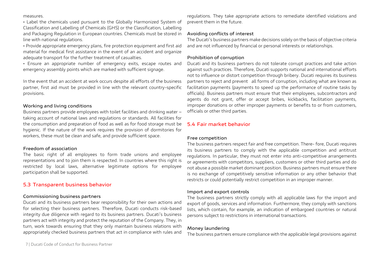#### measures.

• Label the chemicals used pursuant to the Globally Harmonized System of Classification and Labelling of Chemicals (GHS) or the Classification, Labelling and Packaging Regulation in European countries. Chemicals must be stored in line with national regulations.

• Provide appropriate emergency plans, fire protection equipment and first aid material for medical first assistance in the event of an accident and organize adequate transport for the further treatment of casualties.

• Ensure an appropriate number of emergency exits, escape routes and emergency assembly points which are marked with sufficient signage.

In the event that an accident at work occurs despite all efforts of the business partner, first aid must be provided in line with the relevant country-specific provisions.

#### **Working and living conditions**

Business partners provide employees with toilet facilities and drinking water – taking account of national laws and regulations or standards. All facilities for the consumption and preparation of food as well as for food storage must be hygienic. If the nature of the work requires the provision of dormitories for workers, these must be clean and safe, and provide sufficient space.

#### **Freedom of association**

The basic right of all employees to form trade unions and employee representations and to join them is respected. In countries where this right is restricted by local laws, alternative legitimate options for employee participation shall be supported.

#### **5.3 Transparent business behavior**

#### **Commissioning business partners**

Ducati and its business partners bear responsibility for their own actions and for selecting their business partners. Therefore, Ducati conducts risk-based integrity due diligence with regard to its business partners. Ducati's business partners act with integrity and protect the reputation of the Company. They, in turn, work towards ensuring that they only maintain business relations with appropriately checked business partners that act in compliance with rules and

regulations. They take appropriate actions to remediate identified violations and prevent them in the future.

#### **Avoiding conflicts of interest**

The Ducati's business partners make decisions solely on the basis of objective criteria and are not influenced by financial or personal interests or relationships.

#### **Prohibition of corruption**

Ducati and its business partners do not tolerate corrupt practices and take action against such practices. Therefore, Ducati supports national and international efforts not to influence or distort competition through bribery. Ducati requires its business partners to reject and prevent all forms of corruption, including what are known as facilitation payments (payments to speed up the performance of routine tasks by officials). Business partners must ensure that their employees, subcontractors and agents do not grant, offer or accept bribes, kickbacks, facilitation payments, improper donations or other improper payments or benefits to or from customers, officials or other third parties.

#### **5.4 Fair market behavior**

#### **Free competition**

The business partners respect fair and free competition. There- fore, Ducati requires its business partners to comply with the applicable competition and antitrust regulations. In particular, they must not enter into anti-competitive arrangements or agreements with competitors, suppliers, customers or other third parties and do not abuse a possible market dominant position. Business partners must ensure there is no exchange of competitively sensitive information or any other behavior that restricts or could potentially restrict competition in an improper manner.

#### **Import and export controls**

The business partners strictly comply with all applicable laws for the import and export of goods, services and information. Furthermore, they comply with sanctions lists, which contain, for example, an indication of embargoed countries or natural persons subject to restrictions in international transactions.

#### **Money laundering**

The business partners ensure compliance with the applicable legal provisions against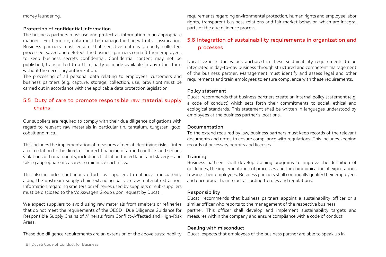money laundering.

#### **Protection of confidential information**

The business partners must use and protect all information in an appropriate manner. Furthermore, data must be managed in line with its classification. Business partners must ensure that sensitive data is properly collected, processed, saved and deleted. The business partners commit their employees to keep business secrets confidential. Confidential content may not be published, transmitted to a third party or made available in any other form without the necessary authorization.

The processing of all personal data relating to employees, customers and business partners (e.g. capture, storage, collection, use, provision) must be carried out in accordance with the applicable data protection legislation.

### **5.5 Duty of care to promote responsible raw material supply chains**

Our suppliers are required to comply with their due diligence obligations with regard to relevant raw materials in particular tin, tantalum, tungsten, gold, cobalt and mica.

This includes the implementation of measures aimed at identifying risks – inter alia in relation to the direct or indirect financing of armed conflicts and serious violations of human rights, including child labor, forced labor and slavery – and taking appropriate measures to minimize such risks.

This also includes continuous efforts by suppliers to enhance transparency along the upstream supply chain extending back to raw material extraction. Information regarding smelters or refineries used by suppliers or sub-suppliers must be disclosed to the Volkswagen Group upon request by Ducati.

We expect suppliers to avoid using raw materials from smelters or refineries that do not meet the requirements of the OECD Due Diligence Guidance for Responsible Supply Chains of Minerals from Conflict-Affected and High-Risk Areas.

These due diligence requirements are an extension of the above sustainability

requirements regarding environmental protection, human rights and employee labor rights, transparent business relations and fair market behavior, which are integral parts of the due diligence process.

### **5.6 Integration of sustainability requirements in organization and processes**

Ducati expects the values anchored in these sustainability requirements to be integrated in day-to-day business through structured and competent management of the business partner. Management must identify and assess legal and other requirements and train employees to ensure compliance with these requirements.

#### **Policy statement**

Ducati recommends that business partners create an internal policy statement (e.g. a code of conduct) which sets forth their commitments to social, ethical and ecological standards. This statement shall be written in languages understood by employees at the business partner's locations.

#### **Documentation**

To the extend required by law, business partners must keep records of the relevant documents and notes to ensure compliance with regulations. This includes keeping records of necessary permits and licenses.

#### **Training**

Business partners shall develop training programs to improve the definition of guidelines, the implementation of processes and the communication of expectations towards their employees. Business partners shall continually qualify their employees and encourage them to act according to rules and regulations.

#### **Responsibility**

Ducati recommends that business partners appoint a sustainability officer or a similar officer who reports to the management of the respective business partner. This officer shall develop and implement sustainability targets and measures within the company and ensure compliance with a code of conduct.

#### **Dealing with misconduct**

Ducati expects that employees of the business partner are able to speak up in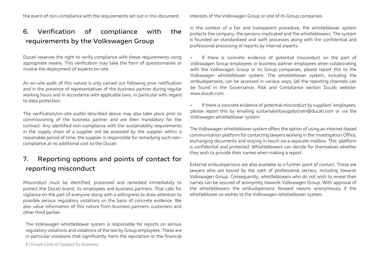the event of non-compliance with the requirements set out in this document.

# **6. Verification of compliance with the requirements by the Volkswagen Group**

Ducati reserves the right to verify compliance with these requirements using appropriate means. This verification may take the form of questionnaires or involve the deployment of experts on-site.

An on-site audit of this nature is only carried out following prior notification and in the presence of representatives of the business partner during regular working hours and in accordance with applicable laws, in particular with regard to data protection.

The verification/on-site audits described above may also take place prior to commissioning of the business partner and are then mandatory for the contract. Any identified non-compliance with the sustainability requirements in the supply chain of a supplier will be assessed by the supplier within a reasonable period of time; the supplier is responsible for remedying such noncompliance at no additional cost to the Ducati.

# **7. Reporting options and points of contact for reporting misconduct**

Misconduct must be identified, processed and remedied immediately to protect the Ducati brand, its employees and business partners. That calls for vigilance on the part of everyone along with a willingness to draw attention to possible serious regulatory violations on the basis of concrete evidence. We also value information of this nature from business partners, customers and other third parties.

The Volkswagen whistleblower system is responsible for reports on serious regulatory violations and violations of the law by Group employees. These are in particular violations that significantly harm the reputation or the financial interests of the Volkswagen Group or one of its Group companies.

In the context of a fair and transparent procedure, the whistleblower system protects the company, the persons implicated and the whistleblowers. The system is founded on standardized and swift processes along with the confidential and professional processing of reports by internal experts.

• If there is concrete evidence of potential misconduct on the part of Volkswagen Group employees or business partner employees when collaborating with the Volkswagen Group or its Group companies, please report this to the Volkswagen whistleblower system. The whistleblower system, including the ombudspersons, can be accessed in various ways, (all the reporting channels can be found in the Governance, Risk and Compliance section Ducati website: www.ducati.com.

If there is concrete evidence of potential misconduct by suppliers' employees, please report this by emailing [sustainabilitysupplychain@ducati.com](mailto:sustainabilitysupplychain@ducati.com) or via the Volkswagen whistleblower system.

The Volkswagen whistleblower system offers the option of using an internet-based communication platform for contacting lawyers working in the Investigation Office, exchanging documents and staying in touch via a separate mailbox. This platform is confidential and protected. Whistleblowers can decide for themselves whether they wish to provide their names when making a report.

External ombudspersons are also available as a further point of contact. These are lawyers who are bound by the oath of professional secrecy, including towards Volkswagen Group. Consequently, whistleblowers who do not wish to reveal their names can be assured of anonymity towards Volkswagen Group. With approval of the whistleblowers the ombudspersons forward reports anonymously if the whistleblower so wishes to the Volkswagen whistleblower system.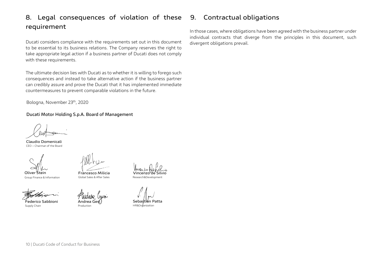# **8. Legal consequences of violation of these requirement**

Ducati considers compliance with the requirements set out in this document to be essential to its business relations. The Company reserves the right to take appropriate legal action if a business partner of Ducati does not comply with these requirements.

The ultimate decision lies with Ducati as to whether it is willing to forego such consequences and instead to take alternative action if the business partner can credibly assure and prove the Ducati that it has implemented immediate countermeasures to prevent comparable violations in the future.

Bologna, November 23th, 2020

#### **Ducati Motor Holding S.p.A. Board of Management**

**Claudio Domenicali** CEO – Chairman of the Board

Group Finance & Information Global Sales & After Sales

**Federico Sabbioni**

Supply Chain

**Francesco Milicia Oliver Stein Vincenzo de Silvio**

**Andrea Gesi** Production

Research&Development

**Sebastian Patta** HR&Ordanization

# **9. Contractual obligations**

In those cases, where obligations have been agreed with the business partner under individual contracts that diverge from the principles in this document, such divergent obligations prevail.

10 | Ducati Code of Conduct for Business